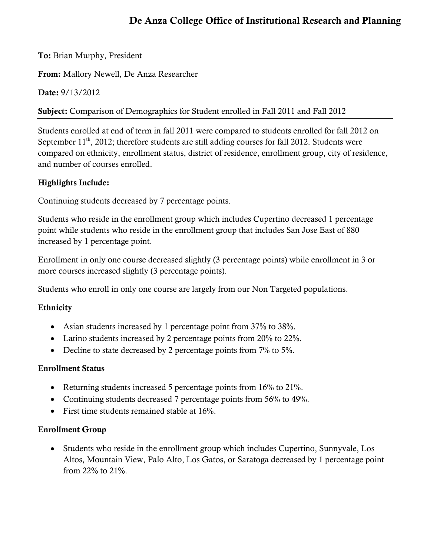# De Anza College Office of Institutional Research and Planning

To: Brian Murphy, President

From: Mallory Newell, De Anza Researcher

Date: 9/13/2012

Subject: Comparison of Demographics for Student enrolled in Fall 2011 and Fall 2012

Students enrolled at end of term in fall 2011 were compared to students enrolled for fall 2012 on September  $11<sup>th</sup>$ , 2012; therefore students are still adding courses for fall 2012. Students were compared on ethnicity, enrollment status, district of residence, enrollment group, city of residence, and number of courses enrolled.

### Highlights Include:

Continuing students decreased by 7 percentage points.

Students who reside in the enrollment group which includes Cupertino decreased 1 percentage point while students who reside in the enrollment group that includes San Jose East of 880 increased by 1 percentage point.

Enrollment in only one course decreased slightly (3 percentage points) while enrollment in 3 or more courses increased slightly (3 percentage points).

Students who enroll in only one course are largely from our Non Targeted populations.

#### Ethnicity

- Asian students increased by 1 percentage point from 37% to 38%.
- Latino students increased by 2 percentage points from 20% to 22%.
- Decline to state decreased by 2 percentage points from 7% to 5%.

## Enrollment Status

- Returning students increased 5 percentage points from 16% to 21%.
- Continuing students decreased 7 percentage points from 56% to 49%.
- First time students remained stable at 16%.

#### Enrollment Group

 Students who reside in the enrollment group which includes Cupertino, Sunnyvale, Los Altos, Mountain View, Palo Alto, Los Gatos, or Saratoga decreased by 1 percentage point from 22% to 21%.